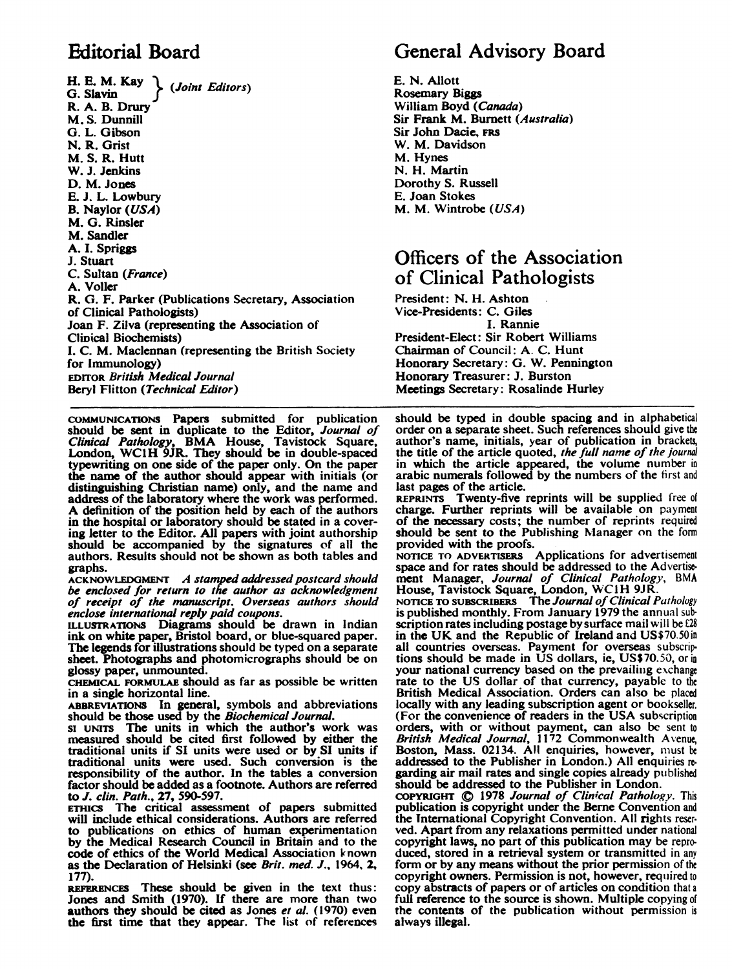H. E. M. Kay  $\left\{\right.$  (Joint Editors) R. A. B. Drury M. S. Dunnill G. L. Gibson N. R. Grist M. S. R. Hutt W. J. Jenkins D. M. Jones E. J. L. Lowbury B. Naylor (USA) M. G. Rinsler M. Sandler A. I. Spriggs J. Stuart C. Sultan (France) A. Voller R. 0. F. Parker (Publications Secretary, Association of Clinical Pathologists) Joan F. Zilva (representing the Association of Clinical Biochemists) I. C. M. Maclennan (representing the British Society for Immunology) EDITOR British Medical Journal Beryl Flitton (Technical Editor)

COMMUNICATIONS Papers submitted for publication should be sent in duplicate to the Editor, Journal of Clinical Pathology, BMA House, Tavistock Square, London, WC1H 9JR. They should be in double-spaced typewriting on one side of the paper only. On the paper the name of the author should appear with initials (or distinguishing Christian name) only, and the name and address of the laboratory where the work was performed. A definition of the position held by each of the authors in the hospital or laboratory should be stated in a covering letter to the Editor. All papers with joint authorship should be accompanied by the signatures of all the authors. Results should not be shown as both tables and graphs.

ACKNOWLEDGMENT A stamped addressed postcard should be enclosed for return to the author as acknowledgment of receipt of the manuscript. Overseas authors should enclose international reply paid coupons.

ILLUSTRATIONS Diagrams should be drawn in Indian ink on white paper, Bristol board, or blue-squared paper. The legends for illustrations should be typed on a separate sheet. Photographs and photomicrographs should be on glossy paper, unmounted.

CHEMICAL FORMULAE should as far as possible be written in a single horizontal line.

ABBREVIATIONS In general, symbols and abbreviations should be those used by the Biochemical Journal.

SI uNiTs The units in which the author's work was measured should be cited first followed by either the traditional units if SI units were used or by SI units if traditional units were used. Such conversion is the responsibility of the author. In the tables a conversion factor should be added as a footnote. Authors are referred to J. clin. Path., 27, 590-597.<br>ETHICS The critical assess

The critical assessment of papers submitted will include ethical considerations. Authors are referred to publications on ethics of human experimentation by the Medical Research Council in Britain and to the code of ethics of the World Medical Association known as the Declaration of Helsinki (see Brit. med. J., 1964, 2, 177).

REFERENCES These should be given in the text thus: Jones and Smith (1970). If there are more than two **authors they should be cited as Jones et al.** (1970) even the first time that they appear. The list of references

# Editorial Board General Advisory Board

E. N. Allott Rosemary Biggs William Boyd (Canada) Sir Frank M. Burnett (Australia) Sir John Dacie, FRS W. M. Davidson M. Hynes N. H. Martin Dorothy S. Russell E. Joan Stokes M. M. Wintrobe (USA)

## Officers of the Association of Clinical Pathologists

President: N. H. Ashton Vice-Presidents: C. Giles I. Rannie President-Elect: Sir Robert Williams Chairman of Council: A. C. Hunt Honorary Secretary: G. W. Pennington Honorary Treasurer: J. Burston Meetings Secretary: Rosalinde Hurley

should be typed in double spacing and in alphabetical order on a separate sheet. Such references should give the author's name, initials, year of publication in bracket, the title of the article quoted, the full name of the journal in which the article appeared, the volume number in arabic numerals followed by the numbers of the first and last pages of the article.

REPRINTS Twenty-five reprints will be supplied free of charge. Further reprints will be available on payment of the necessary costs; the number of reprints required should be sent to the Publishing Manager on the form provided with the proofs.

NOTICE TO ADVERTIERs Applications for advertisement space and for rates should be addressed to the Advertise. ment Manager, *Journal of Clinical Pathology*, BMA<br>House, Tavistock Square, London, WC1H 9JR.

NOTICE TO SUBSCRIBERS The Journal of Clinical Pathology<br>is published monthly. From January 1979 the annual subscription rates including postage by surface mail will be  $E28$ in the UK and the Republic of Ireland and US\$70.50 in all countries overseas. Payment for overseas subscriptions should be made in US dollars, ic, US\$70.50, or in your national currency based on the prevailing exchange rate to the US dollar of that currency, payable to the British Medical Association. Orders can also be placed locally with any leading subscription agent or bookseller. (For the convenience of readers in the USA subscription orders, with or without payment, can also be sent to *British Medical Journal*, 1172 Commonwealth Avenue, **Boston, Mass. 02134.** All enquiries, however, must be addressed to the Publisher in London.) All enquiries re garding air mail rates and single copies already published should be addressed to the Publisher in London.

COPYRIGHT (¢ 1978 Journal of Clinical Pathology. This publication is copyright under the Berne Convention and the International Copyright Convention. All rights reser. ved. Apart from any relaxations permitted under national copyright laws, no part of this publication may be repro. duced, stored in a retrieval system or transmitted in any form or by any means without the prior permission of the copyright owners. Permission is not, however, required to copy abstracts of papers or of articles on condition that <sup>a</sup> full reference to the source is shown. Multiple copying of the contents of the publication without permission is always illegal.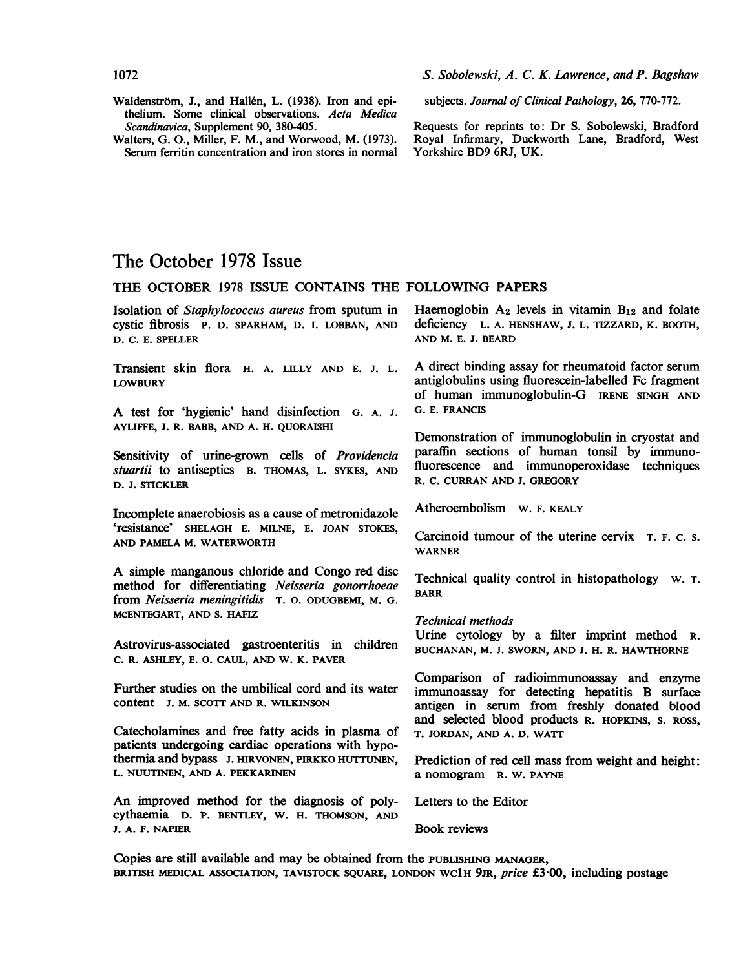- Waldenström, J., and Hallén, L. (1938). Iron and epithelium. Some clinical observations. Acta Medica Scandinavica, Supplement 90, 380-405.
- Walters, G. 0., Miller, F. M., and Worwood, M. (1973). Serum ferritin concentration and iron stores in normal

subjects. Journal of Clinical Pathology, 26, 770-772.

Requests for reprints to: Dr S. Sobolewski, Bradford Royal Infirmary, Duckworth Lane, Bradford, West Yorkshire BD9 6RJ, UK.

## The October 1978 Issue

### THE OCTOBER <sup>1978</sup> ISSUE CONTAINS THE FOLLOWING PAPERS

Isolation of Staphylococcus aureus from sputum in cystic fibrosis P. D. SPARHAM, D. I. LOBBAN, AND D. C. E. SPELLER

Transient skin flora H. A. LILLY AND E. J. L. LOWBURY

A test for 'hygienic' hand disinfection G. A. J. AYLIFFE, J. R. BABB, AND A. H. QUORAISHI

Sensitivity of urine-grown cells of *Providencia* stuartii to antiseptics B. THOMAS, L. SYKES, AND D. J. STICKLER

Incomplete anaerobiosis as a cause of metronidazole 'resistance' SHELAGH E. MILNE, E. JOAN STOKES, AND PAMELA M. WATERWORTH

A simple manganous chloride and Congo red disc method for differentiating Neisseria gonorrhoeae from Neisseria meningitidis T. 0. ODUGBEMI, M. G. MCENTEGART, AND S. HAFIZ

Astrovirus-associated gastroenteritis in children C. R. ASHLEY, E. 0. CAUL, AND W. K. PAVER

Further studies on the umbilical cord and its water content J. M. SCOTT AND R. WILKINSON

Catecholamines and free fatty acids in plasma of patients undergoing cardiac operations with hypothermia and bypass J. HIRVONEN, PIRKKO HUTTUNEN, L. NUUTINEN, AND A. PEKKARINEN

An improved method for the diagnosis of polycythaemia D. P. BENTLEY, W. H. THOMSON, AND J. A. F. NAPIER

Haemoglobin  $A_2$  levels in vitamin  $B_{12}$  and folate deficiency L. A. HENSHAW, J. L. TIZZARD, K. BOOTH, AND M. E. J. BEARD

A direct binding assay for rheumatoid factor serum antiglobulins using fluorescein-labelled Fc fragment of human immunoglobulin-G IRENE SINGH AND G. E. FRANCIS

Demonstration of immunoglobulin in cryostat and paraffin sections of human tonsil by immunofluorescence and immunoperoxidase techniques R. C. CURRAN AND J. GREGORY

Atheroembolism W. F. KEALY

Carcinoid tumour of the uterine cervix T. F. C. S. WARNER

Technical quality control in histopathology w. T. BARR

#### Technical methods

Urine cytology by a filter imprint method R. BUCHANAN, M. J. SWORN, AND J. H. R. HAWTHORNE

Comparison of radioimmunoassay and enzyme immunoassay for detecting hepatitis B surface antigen in serum from freshly donated blood and selected blood products R. HOPKINS, S. ROSS, T. JORDAN, AND A. D. WATT

Prediction of red cell mass from weight and height: a nomogram R. W. PAYNE

Letters to the Editor

Book reviews

Copies are still available and may be obtained from the PUBLISHING MANAGER, BRITISH MEDICAL ASSOCIATION, TAVISTOCK SQUARE, LONDON WC1H 9JR, price £3.00, including postage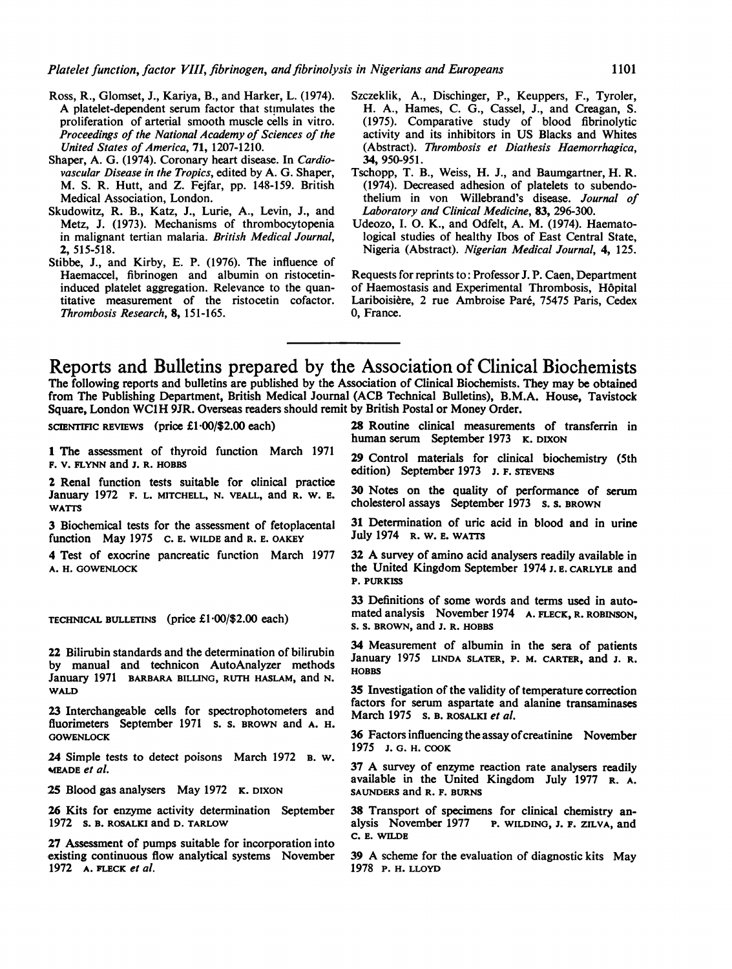- Ross, R., Glomset, J., Kariya, B., and Harker, L. (1974). A platelet-dependent serum factor that stimulates the proliferation of arterial smooth muscle cells in vitro. Proceedings of the National Academy of Sciences of the United States of America, 71, 1207-1210.
- Shaper, A. G. (1974). Coronary heart disease. In Cardiovascular Disease in the Tropics, edited by A. G. Shaper, M. S. R. Hutt, and Z. Fejfar, pp. 148-159. British Medical Association, London.
- Skudowitz, R. B., Katz, J., Lurie, A., Levin, J., and Metz, J. (1973). Mechanisms of thrombocytopenia in malignant tertian malaria. British Medical Journal, 2, 515-518.
- Stibbe, J., and Kirby, E. P. (1976). The influence of Haemaccel, fibrinogen and albumin on ristocetininduced platelet aggregation. Relevance to the quantitative measurement of the ristocetin cofactor. Thrombosis Research, 8, 151-165.
- Szczeklik, A., Dischinger, P., Keuppers, F., Tyroler, H. A., Hames, C. G., Cassel, J., and Creagan, S. (1975). Comparative study of blood fibrinolytic activity and its inhibitors in US Blacks and Whites (Abstract). Thrombosis et Diathesis Haemorrhagica, 34, 950-951.
- Tschopp, T. B., Weiss, H. J., and Baumgartner, H. R. (1974). Decreased adhesion of platelets to subendothelium in von Willebrand's disease. Journal of Laboratory and Clinical Medicine, 83, 296-300.
- Udeozo, I. 0. K., and Odfelt, A. M. (1974). Haematological studies of healthy Ibos of East Central State, Nigeria (Abstract). Nigerian Medical Journal, 4, 125.

Requests for reprints to: Professor J. P. Caen, Department of Haemostasis and Experimental Thrombosis, H6pital Lariboisiere, 2 rue Ambroise Pare, 75475 Paris, Cedex 0, France.

Reports and Bulletins prepared by the Association of Clinical Biochemists The following reports and bulletins are published by the Association of Clinical Biochemists. They may be obtained from The Publishing Department, British Medical Journal (ACB Technical Bulletins), B.M.A. House, Tavistock Square, London WC1H 9JR. Overseas readers should remit by British Postal or Money Order.

scIENTIFIC REVIEWS (price  $£1.00$ /\$2.00 each)

<sup>1</sup> The assessment of thyroid function March 1971 F. V. FLYNN and J. R. HOBBS

2 Renal function tests suitable for clinical practice January 1972 F. L. MITCHELL, N. VEALL, and R. W. E. WATTS

3 Biochemical tests for the assessment of fetoplacental function May 1975 C. E. WILDE and R. E. OAKEY

4 Test of exocrine pancreatic function March 1977 A. H. GOWENLOCK

TECHNICAL BULLETINS (price  $£1.00/\$2.00$  each)

22 Bilirubin standards and the determination of bilirubin by manual and technicon AutoAnalyzer methods January 1971 BARBARA BILLING, RUTH HASLAM, and N. WALD

23 Interchangeable cells for spectrophotometers and fluorimeters September 1971 s. s. BROWN and A. H. **GOWENLOCK** 

24 Simple tests to detect poisons March 1972 B. W. MEADE et al.

25 Blood gas analysers May 1972 K. DIXON

26 Kits for enzyme activity determination September 1972 s. B. ROSALKI and D. TARLOW

27 Assessment of pumps suitable for incorporation into existing continuous flow analytical systems November 1972 A. FLECK et al.

28 Routine clinical measurements of transferrin in human serum September 1973 K. DIXON

29 Control materials for clinical biochemistry (5th edition) September 1973 J. F. STEVENS

30 Notes on the quality of performance of serum cholesterol assays September 1973 s. S. BROWN

31 Determination of uric acid in blood and in urine July 1974 R. W. e. WATTS

<sup>32</sup> A survey of amino acid analysers readily available in the United Kingdom September 1974 J.E. CARLYLE and P. PURKISS

33 Definitions of some words and terms used in automated analysis November 1974 A. FLECK, R. ROBINSON, S. S. BROWN, and J. R. HOBBS

34 Measurement of albumin in the sera of patients January 1975 LINDA SLATER, P. M. CARTER, and J. R. HOBBS

35 Investigation of the validity of temperature correction factors for serum aspartate and alanine transaminases March 1975 s. B. ROSALKI et al.

36 Factors influencing the assay of creatinine November 1975 J. G. H. COOK

<sup>37</sup> A survey of enzyme reaction rate analysers readily available in the United Kingdom July 1977 R. A. SAUNDERS and R. F. BURNS

38 Transport of specimens for clinical chemistry analysis November 1977 P. WILDING, J. F. ZILVA, and C. E. WILDE

<sup>39</sup> A scheme for the evaluation of diagnostic kits May 1978 P. H. LLOYD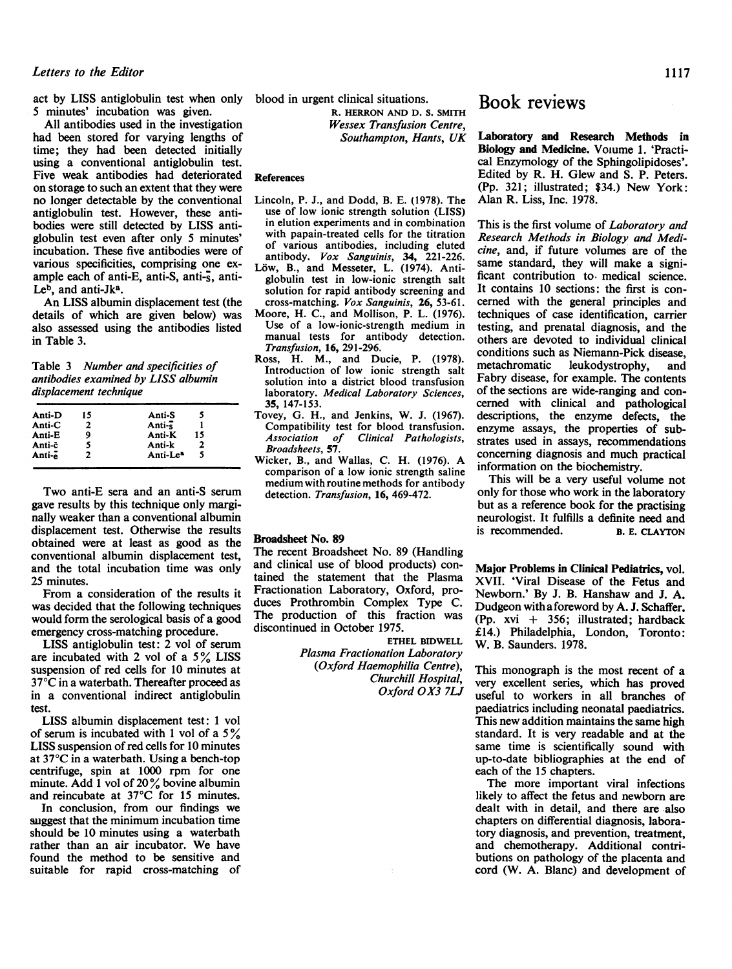#### Letters to the Editor 1117

act by LISS antiglobulin test when only blood in urgent clinical situations. 5 minutes' incubation was given.

All antibodies used in the investigation had been stored for varying lengths of time; they had been detected initially using a conventional antiglobulin test. Five weak antibodies had deteriorated on storage to such an extent that they were no longer detectable by the conventional antiglobulin test. However, these antibodies were still detected by LISS antiglobulin test even after only 5 minutes' incubation. These five antibodies were of various specificities, comprising one example each of anti-E, anti-S, anti-s, anti-Le<sup>b</sup>, and anti-Jk<sup>a</sup>.

An LISS albumin displacement test (the details of which are given below) was also assessed using the antibodies listed in Table 3.

Table 3 Number and specificities of antibodies examined by LISS albumin displacement technique

| Anti-D | 15 | Anti-S               |    |  |
|--------|----|----------------------|----|--|
| Anti-C | 2  | Anti- $\frac{2}{5}$  |    |  |
| Anti-E | 9  | Anti-K               | 15 |  |
| Anti-c | 5  | Anti-k               | 2  |  |
| Anti-e | 2  | Anti-Le <sup>a</sup> | 5  |  |
|        |    |                      |    |  |

Two anti-E sera and an anti-S serum gave results by this technique only marginally weaker than a conventional albumin displacement test. Otherwise the results obtained were at least as good as the conventional albumin displacement test, and the total incubation time was only 25 minutes.

From a consideration of the results it was decided that the following techniques would form the serological basis of a good emergency cross-matching procedure.

LISS antiglobulin test: 2 vol of serum are incubated with 2 vol of a  $5\%$  LISS suspension of red cells for 10 minutes at  $37^{\circ}$ C in a waterbath. Thereafter proceed as in a conventional indirect antiglobulin test.

LISS albumin displacement test: <sup>1</sup> vol of serum is incubated with 1 vol of a  $5\%$ LISS suspension of red cells for 10 minutes at 37°C in a waterbath. Using a bench-top centrifuge, spin at 1000 rpm for one minute. Add 1 vol of 20% bovine albumin and reincubate at 37°C for 15 minutes.

In conclusion, from our findings we suggest that the minimum incubation time should be 10 minutes using a waterbath rather than an air incubator. We have found the method to be sensitive and suitable for rapid cross-matching of R. HERRON AND D. S. SMITH Wessex Transfusion Centre, Southampton, Hants, UK

#### References

- Lincoln, P. J., and Dodd, B. E. (1978). The use of low ionic strength solution (LISS) in elution experiments and in combination with papain-treated cells for the titration of various antibodies, including eluted antibody. Vox Sanguinis, 34, 221-226.
- Löw, B., and Messeter, L. (1974). Antiglobulin test in low-ionic strength salt solution for rapid antibody screening and cross-matching. Vox Sanguinis, 26, 53-61.
- Moore, H. C., and Mollison, P. L. (1976). Use of a low-ionic-strength medium in manual tests for antibody detection. Transfusion, 16, 291-296.
- Ross, H. M., and Ducie, P. (1978). Introduction of low ionic strength salt solution into a district blood transfusion laboratory. Medical Laboratory Sciences, 35, 147-153.
- Tovey, G. H., and Jenkins, W. J. (1967). Compatibility test for blood transfusion.<br>Association of Clinical Pathologists. Clinical Pathologists, Broadsheets, 57.
- Wicker, B., and Wallas, C. H. (1976). A comparison of a low ionic strength saline medium with routine methods for antibody detection. Transfusion, 16, 469-472.

#### Broadsheet No. 89

The recent Broadsheet No. 89 (Handling and clinical use of blood products) contained the statement that the Plasma Fractionation Laboratory, Oxford, produces Prothrombin Complex Type C. The production of this fraction was discontinued in October 1975.

> ETHEL BIDWELL Plasma Fractionation Laboratory (Oxford Haemophilia Centre), Churchill Hospital, Oxford OX3 7LJ

### Book reviews

Laboratory and Research Methods in Biology and Medicine. Voiume 1. 'Practical Enzymology of the Sphingolipidoses'. Edited by R. H. Glew and S. P. Peters. (Pp. 321; illustrated; \$34.) New York: Alan R. Liss, Inc. 1978.

This is the first volume of Laboratory and Research Methods in Biology and Medicine, and, if future volumes are of the same standard, they will make a significant contribution to medical science. It contains 10 sections: the first is concerned with the general principles and techniques of case identification, carrier testing, and prenatal diagnosis, and the others are devoted to individual clinical conditions such as Niemann-Pick disease,<br>metachromatic leukodystrophy. and leukodystrophy, Fabry disease, for example. The contents of the sections are wide-ranging and concerned with clinical and pathological descriptions, the enzyme defects, the enzyme assays, the properties of substrates used in assays, recommendations concerning diagnosis and much practical information on the biochemistry.

This will be a very useful volume not only for those who work in the laboratory but as a reference book for the practising neurologist. It fulfills a definite need and<br>is recommended. B. E. CLAYTON is recommended.

Major Problems in Clinical Pediatrics, vol. XVII. 'Viral Disease of the Fetus and Newborn.' By J. B. Hanshaw and J. A. Dudgeon withaforeword by A. J. Schaffer. (Pp.  $xvi + 356$ ; illustrated; hardback £14.) Philadelphia, London, Toronto: W. B. Saunders. 1978.

This monograph is the most recent of a very excellent series, which has proved useful to workers in all branches of paediatrics including neonatal paediatrics. This new addition maintains the same high standard. It is very readable and at the same time is scientifically sound with up-to-date bibliographies at the end of each of the 15 chapters.

The more important viral infections likely to affect the fetus and newborn are dealt with in detail, and there are -also chapters on differential diagnosis, laboratory diagnosis, and prevention, treatment, and chemotherapy. Additional contributions on pathology of the placenta and cord (W. A. Blanc) and development of